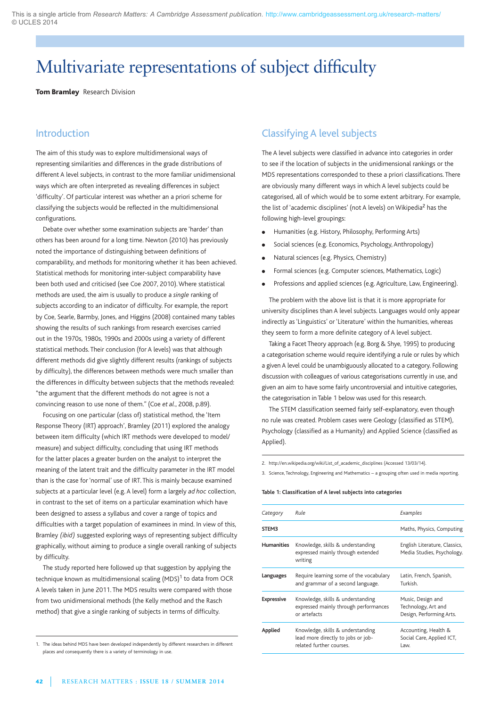# Multivariate representations of subject difficulty

**Tom Bramley** Research Division

# **Introduction**

The aim of this study was to explore multidimensional ways of representing similarities and differences in the grade distributions of different A level subjects, in contrast to the more familiar unidimensional ways which are often interpreted as revealing differences in subject 'difficulty'. Of particular interest was whether an a priori scheme for classifying the subjects would be reflected in the multidimensional configurations.

Debate over whether some examination subjects are 'harder' than others has been around for a long time. Newton (2010) has previously noted the importance of distinguishing between definitions of comparability, and methods for monitoring whether it has been achieved. Statistical methods for monitoring inter-subject comparability have been both used and criticised (see Coe 2007, 2010). Where statistical methods are used, the aim is usually to produce a *single* ranking of subjects according to an indicator of difficulty. For example, the report by Coe, Searle, Barmby, Jones, and Higgins (2008) contained many tables showing the results of such rankings from research exercises carried out in the 1970s, 1980s, 1990s and 2000s using a variety of different statistical methods. Their conclusion (for A levels) was that although different methods did give slightly different results (rankings of subjects by difficulty), the differences between methods were much smaller than the differences in difficulty between subjects that the methods revealed: "the argument that the different methods do not agree is not a convincing reason to use none of them." (Coe *et al*., 2008, p.89).

Focusing on one particular (class of) statistical method, the 'Item Response Theory (IRT) approach', Bramley (2011) explored the analogy between item difficulty (which IRT methods were developed to model/ measure) and subject difficulty, concluding that using IRT methods for the latter places a greater burden on the analyst to interpret the meaning of the latent trait and the difficulty parameter in the IRT model than is the case for 'normal' use of IRT. This is mainly because examined subjects at a particular level (e.g. A level) form a largely *ad hoc* collection, in contrast to the set of items on a particular examination which have been designed to assess a syllabus and cover a range of topics and difficulties with a target population of examinees in mind. In view of this, Bramley *(ibid)* suggested exploring ways of representing subject difficulty graphically, without aiming to produce a single overall ranking of subjects by difficulty.

The study reported here followed up that suggestion by applying the technique known as multidimensional scaling  $(MDS)^1$  to data from OCR A levels taken in June 2011. The MDS results were compared with those from two unidimensional methods (the Kelly method and the Rasch method) that give a single ranking of subjects in terms of difficulty.

1. The ideas behind MDS have been developed independently by different researchers in different places and consequently there is a variety of terminology in use.

# Classifying A level subjects

The A level subjects were classified in advance into categories in order to see if the location of subjects in the unidimensional rankings or the MDS representations corresponded to these a priori classifications. There are obviously many different ways in which A level subjects could be categorised, all of which would be to some extent arbitrary. For example, the list of 'academic disciplines' (not A levels) on Wikipedia<sup>2</sup> has the following high-level groupings:

- **e** Humanities (e.g. History, Philosophy, Performing Arts)
- Social sciences (e.g. Economics, Psychology, Anthropology)
- Natural sciences (e.g. Physics, Chemistry)
- Formal sciences (e.g. Computer sciences, Mathematics, Logic)
- Professions and applied sciences (e.g. Agriculture, Law, Engineering).

The problem with the above list is that it is more appropriate for university disciplines than A level subjects. Languages would only appear indirectly as 'Linguistics' or 'Literature' within the humanities, whereas they seem to form a more definite category of A level subject.

Taking a Facet Theory approach (e.g. Borg & Shye, 1995) to producing a categorisation scheme would require identifying a rule or rules by which a given A level could be unambiguously allocated to a category. Following discussion with colleagues of various categorisations currently in use, and given an aim to have some fairly uncontroversial and intuitive categories, the categorisation in Table 1 below was used for this research.

The STEM classification seemed fairly self-explanatory, even though no rule was created. Problem cases were Geology (classified as STEM), Psychology (classified as a Humanity) and Applied Science (classified as Applied).

2. http://en.wikipedia.org/wiki/List\_of\_academic\_disciplines (Accessed 13/03/14).

3. Science, Technology, Engineering and Mathematics – a grouping often used in media reporting.

#### **Table 1: Classification of A level subjects into categories**

| Category          | Rule                                                                                                | Examples                                                             |
|-------------------|-----------------------------------------------------------------------------------------------------|----------------------------------------------------------------------|
| STEM3             |                                                                                                     | Maths, Physics, Computing                                            |
| <b>Humanities</b> | Knowledge, skills & understanding<br>expressed mainly through extended<br>writing                   | English Literature, Classics,<br>Media Studies, Psychology.          |
| Languages         | Require learning some of the vocabulary<br>and grammar of a second language.                        | Latin, French, Spanish,<br>Turkish.                                  |
| <b>Expressive</b> | Knowledge, skills & understanding<br>expressed mainly through performances<br>or artefacts          | Music, Design and<br>Technology, Art and<br>Design, Performing Arts. |
| Applied           | Knowledge, skills & understanding<br>lead more directly to jobs or job-<br>related further courses. | Accounting, Health &<br>Social Care, Applied ICT,<br>Law.            |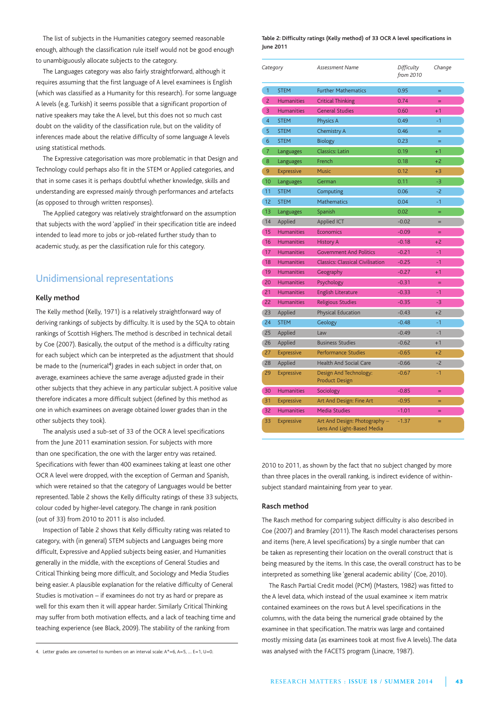The list of subjects in the Humanities category seemed reasonable enough, although the classification rule itself would not be good enough to unambiguously allocate subjects to the category.

The Languages category was also fairly straightforward, although it requires assuming that the first language of A level examinees is English (which was classified as a Humanity for this research). For some language A levels (e.g. Turkish) it seems possible that a significant proportion of native speakers may take the A level, but this does not so much cast doubt on the validity of the classification rule, but on the validity of inferences made about the relative difficulty of some language A levels using statistical methods.

The Expressive categorisation was more problematic in that Design and Technology could perhaps also fit in the STEM or Applied categories, and that in some cases it is perhaps doubtful whether knowledge, skills and understanding are expressed *mainly* through performances and artefacts (as opposed to through written responses).

The Applied category was relatively straightforward on the assumption that subjects with the word 'applied' in their specification title are indeed intended to lead more to jobs or job-related further study than to academic study, as per the classification rule for this category.

# Unidimensional representations

### **Kelly method**

The Kelly method (Kelly, 1971) is a relatively straightforward way of deriving rankings of subjects by difficulty. It is used by the SQA to obtain rankings of Scottish Highers. The method is described in technical detail by Coe (2007). Basically, the output of the method is a difficulty rating for each subject which can be interpreted as the adjustment that should be made to the (numerical<sup>4</sup>) grades in each subject in order that, on average, examinees achieve the same average adjusted grade in their other subjects that they achieve in any particular subject. A positive value therefore indicates a more difficult subject (defined by this method as one in which examinees on average obtained lower grades than in the other subjects they took).

The analysis used a sub-set of 33 of the OCR A level specifications from the June 2011 examination session. For subjects with more than one specification, the one with the larger entry was retained. Specifications with fewer than 400 examinees taking at least one other OCR A level were dropped, with the exception of German and Spanish, which were retained so that the category of Languages would be better represented. Table 2 shows the Kelly difficulty ratings of these 33 subjects, colour coded by higher-level category. The change in rank position (out of 33) from 2010 to 2011 is also included.

Inspection of Table 2 shows that Kelly difficulty rating was related to category, with (in general) STEM subjects and Languages being more difficult, Expressive and Applied subjects being easier, and Humanities generally in the middle, with the exceptions of General Studies and Critical Thinking being more difficult, and Sociology and Media Studies being easier. A plausible explanation for the relative difficulty of General Studies is motivation – if examinees do not try as hard or prepare as well for this exam then it will appear harder. Similarly Critical Thinking may suffer from both motivation effects, and a lack of teaching time and teaching experience (see Black, 2009). The stability of the ranking from

4. Letter grades are converted to numbers on an interval scale: A\*=6, A=5, … E=1, U=0.

#### **Table 2: Difficulty ratings (Kelly method) of 33 OCR A level specifications in June 2011**

| Category       |                   | <b>Assessment Name</b>                                      | Difficulty<br>from 2010 | Change |  |
|----------------|-------------------|-------------------------------------------------------------|-------------------------|--------|--|
| $\mathbf{1}$   | <b>STEM</b>       | <b>Further Mathematics</b>                                  | 0.95                    | $=$    |  |
| $\overline{2}$ | <b>Humanities</b> | <b>Critical Thinking</b>                                    | 0.74                    | $=$    |  |
| 3              | <b>Humanities</b> | <b>General Studies</b>                                      | 0.60                    | $+1$   |  |
| $\overline{4}$ | <b>STEM</b>       | Physics A                                                   | 0.49                    | $-1$   |  |
| 5              | <b>STEM</b>       | Chemistry A                                                 | 0.46                    | $=$    |  |
| 6              | <b>STEM</b>       | <b>Biology</b>                                              | 0.23                    | $=$    |  |
| 7              | Languages         | <b>Classics: Latin</b>                                      | 0.19                    | $+1$   |  |
| 8              | Languages         | French                                                      | 0.18                    | $+2$   |  |
| 9              | <b>Expressive</b> | <b>Music</b>                                                | 0.12                    | $+3$   |  |
| 10             | Languages         | German                                                      | 0.11                    | -3     |  |
| 11             | <b>STEM</b>       | Computing                                                   | 0.06                    | $-2$   |  |
| 12             | <b>STEM</b>       | <b>Mathematics</b>                                          | 0.04                    | $-1$   |  |
| 13             | Languages         | Spanish                                                     | 0.02                    | Ξ      |  |
| 14             | Applied           | Applied ICT                                                 | $-0.02$                 | $=$    |  |
| 15             | <b>Humanities</b> | Economics                                                   | $-0.09$                 | $=$    |  |
| 16             | <b>Humanities</b> | <b>History A</b>                                            | $-0.18$                 | $+2$   |  |
| 17             | <b>Humanities</b> | <b>Government And Politics</b>                              | $-0.21$                 | $-1$   |  |
| 18             | <b>Humanities</b> | <b>Classics: Classical Civilisation</b>                     | $-0.25$                 | $-1$   |  |
| 19             | <b>Humanities</b> | Geography                                                   | $-0.27$                 | $+1$   |  |
| 20             | <b>Humanities</b> | Psychology                                                  | $-0.31$                 | $=$    |  |
| 21             | <b>Humanities</b> | <b>English Literature</b>                                   | $-0.33$                 | $-1$   |  |
| 22             | <b>Humanities</b> | Religious Studies                                           | $-0.35$                 | $-3$   |  |
| 23             | Applied           | Physical Education                                          | $-0.43$                 | $+2$   |  |
| 24             | <b>STEM</b>       | Geology                                                     | $-0.48$                 | $-1$   |  |
| 25             | Applied           | Law                                                         | $-0.49$                 | $-1$   |  |
| 26             | Applied           | <b>Business Studies</b>                                     | $-0.62$                 | $+1$   |  |
| 27             | <b>Expressive</b> | Performance Studies                                         | $-0.65$                 | $+2$   |  |
| 28             | Applied           | <b>Health And Social Care</b>                               | $-0.66$                 | $-2$   |  |
| 29             | <b>Expressive</b> | Design And Technology:<br><b>Product Design</b>             | $-0.67$                 | $-1$   |  |
| 30             | <b>Humanities</b> | Sociology                                                   | $-0.85$                 | $=$    |  |
| 31             | <b>Expressive</b> | Art And Design: Fine Art                                    | $-0.95$                 | Ξ      |  |
| 32             | <b>Humanities</b> | <b>Media Studies</b>                                        | $-1.01$                 | =      |  |
| 33             | <b>Expressive</b> | Art And Design: Photography -<br>Lens And Light-Based Media | $-1.37$                 | =      |  |

2010 to 2011, as shown by the fact that no subject changed by more than three places in the overall ranking, is indirect evidence of withinsubject standard maintaining from year to year.

#### **Rasch method**

The Rasch method for comparing subject difficulty is also described in Coe (2007) and Bramley (2011). The Rasch model characterises persons and items (here, A level specifications) by a single number that can be taken as representing their location on the overall construct that is being measured by the items. In this case, the overall construct has to be interpreted as something like 'general academic ability' (Coe, 2010).

The Rasch Partial Credit model (PCM) (Masters, 1982) was fitted to the A level data, which instead of the usual examinee  $\times$  item matrix contained examinees on the rows but A level specifications in the columns, with the data being the numerical grade obtained by the examinee in that specification. The matrix was large and contained mostly missing data (as examinees took at most five A levels). The data was analysed with the FACETS program (Linacre, 1987).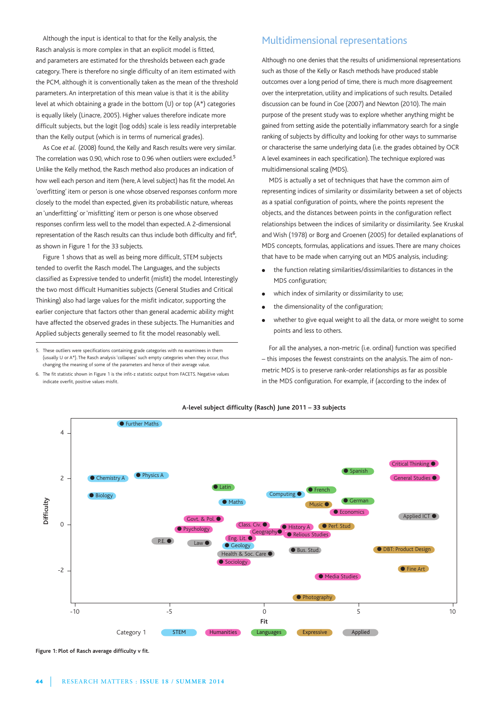Although the input is identical to that for the Kelly analysis, the Rasch analysis is more complex in that an explicit model is fitted, and parameters are estimated for the thresholds between each grade category. There is therefore no single difficulty of an item estimated with the PCM, although it is conventionally taken as the mean of the threshold parameters. An interpretation of this mean value is that it is the ability level at which obtaining a grade in the bottom (U) or top (A\*) categories is equally likely (Linacre, 2005). Higher values therefore indicate more difficult subjects, but the logit (log odds) scale is less readily interpretable than the Kelly output (which is in terms of numerical grades).

As Coe *et al.* (2008) found, the Kelly and Rasch results were very similar. The correlation was 0.90, which rose to 0.96 when outliers were excluded.<sup>5</sup> Unlike the Kelly method, the Rasch method also produces an indication of how well each person and item (here, A level subject) has fit the model. An 'overfitting' item or person is one whose observed responses conform more closely to the model than expected, given its probabilistic nature, whereas an 'underfitting' or 'misfitting' item or person is one whose observed responses confirm less well to the model than expected. A 2-dimensional representation of the Rasch results can thus include both difficulty and fit<sup>6</sup>, as shown in Figure 1 for the 33 subjects.

Figure 1 shows that as well as being more difficult, STEM subjects tended to overfit the Rasch model. The Languages, and the subjects classified as Expressive tended to underfit (misfit) the model. Interestingly the two most difficult Humanities subjects (General Studies and Critical Thinking) also had large values for the misfit indicator, supporting the earlier conjecture that factors other than general academic ability might have affected the observed grades in these subjects. The Humanities and Applied subjects generally seemed to fit the model reasonably well.

5. These outliers were specifications containing grade categories with no examinees in them (usually U or A\*). The Rasch analysis 'collapses' such empty categories when they occur, thus changing the meaning of some of the parameters and hence of their average value.

6. The fit statistic shown in Figure 1 is the infit-z statistic output from FACETS. Negative values indicate overfit, positive values misfit.

# Multidimensional representations

Although no one denies that the results of unidimensional representations such as those of the Kelly or Rasch methods have produced stable outcomes over a long period of time, there is much more disagreement over the interpretation, utility and implications of such results. Detailed discussion can be found in Coe (2007) and Newton (2010). The main purpose of the present study was to explore whether anything might be gained from setting aside the potentially inflammatory search for a single ranking of subjects by difficulty and looking for other ways to summarise or characterise the same underlying data (i.e. the grades obtained by OCR A level examinees in each specification). The technique explored was multidimensional scaling (MDS).

MDS is actually a set of techniques that have the common aim of representing indices of similarity or dissimilarity between a set of objects as a spatial configuration of points, where the points represent the objects, and the distances between points in the configuration reflect relationships between the indices of similarity or dissimilarity. See Kruskal and Wish (1978) or Borg and Groenen (2005) for detailed explanations of MDS concepts, formulas, applications and issues. There are many choices that have to be made when carrying out an MDS analysis, including:

- the function relating similarities/dissimilarities to distances in the MDS configuration;
- $\bullet$  which index of similarity or dissimilarity to use;
- the dimensionality of the configuration;
- whether to give equal weight to all the data, or more weight to some points and less to others.

For all the analyses, a non-metric (i.e. ordinal) function was specified – this imposes the fewest constraints on the analysis. The aim of nonmetric MDS is to preserve rank-order relationships as far as possible in the MDS configuration. For example, if (according to the index of



**A-level subject difficulty (Rasch) June 2011 – 33 subjects**

**Figure 1: Plot of Rasch average difficulty v fit.**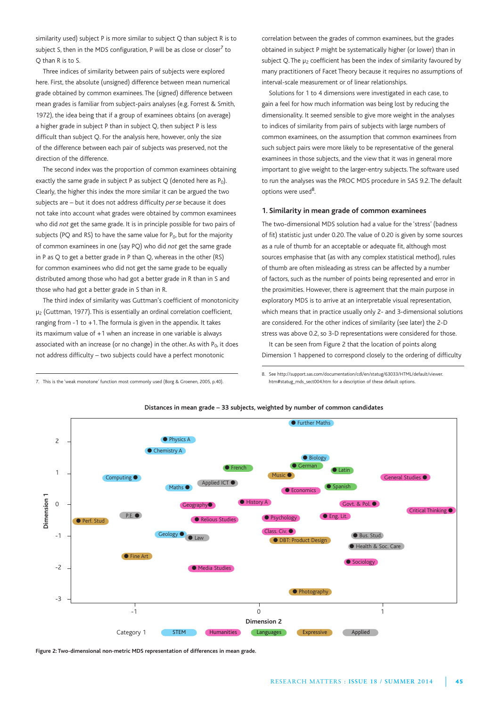similarity used) subject P is more similar to subject Q than subject R is to subject S, then in the MDS configuration, P will be as close or closer<sup>7</sup> to Q than R is to S.

Three indices of similarity between pairs of subjects were explored here. First, the absolute (unsigned) difference between mean numerical grade obtained by common examinees. The (signed) difference between mean grades is familiar from subject-pairs analyses (e.g. Forrest & Smith, 1972), the idea being that if a group of examinees obtains (on average) a higher grade in subject P than in subject Q, then subject P is less difficult than subject Q. For the analysis here, however, only the size of the difference between each pair of subjects was preserved, not the direction of the difference.

The second index was the proportion of common examinees obtaining exactly the same grade in subject P as subject  $Q$  (denoted here as  $P_0$ ). Clearly, the higher this index the more similar it can be argued the two subjects are – but it does not address difficulty *per se* because it does not take into account what grades were obtained by common examinees who did *not* get the same grade. It is in principle possible for two pairs of subjects (PQ and RS) to have the same value for  $P_0$ , but for the majority of common examinees in one (say PQ) who did *not* get the same grade in P as Q to get a better grade in P than Q, whereas in the other (RS) for common examinees who did not get the same grade to be equally distributed among those who had got a better grade in R than in S and those who had got a better grade in S than in R.

The third index of similarity was Guttman's coefficient of monotonicity μ2 (Guttman, 1977). This is essentially an ordinal correlation coefficient, ranging from -1 to +1. The formula is given in the appendix. It takes its maximum value of +1 when an increase in one variable is always associated with an increase (or no change) in the other. As with  $P_0$ , it does not address difficulty – two subjects could have a perfect monotonic

correlation between the grades of common examinees, but the grades obtained in subject P might be systematically higher (or lower) than in subject Q. The  $\mu_2$  coefficient has been the index of similarity favoured by many practitioners of Facet Theory because it requires no assumptions of interval-scale measurement or of linear relationships.

Solutions for 1 to 4 dimensions were investigated in each case, to gain a feel for how much information was being lost by reducing the dimensionality. It seemed sensible to give more weight in the analyses to indices of similarity from pairs of subjects with large numbers of common examinees, on the assumption that common examinees from such subject pairs were more likely to be representative of the general examinees in those subjects, and the view that it was in general more important to give weight to the larger-entry subjects. The software used to run the analyses was the PROC MDS procedure in SAS 9.2. The default options were used<sup>8</sup>.

#### **1. Similarity in mean grade of common examinees**

The two-dimensional MDS solution had a value for the 'stress' (badness of fit) statistic just under 0.20. The value of 0.20 is given by some sources as a rule of thumb for an acceptable or adequate fit, although most sources emphasise that (as with any complex statistical method), rules of thumb are often misleading as stress can be affected by a number of factors, such as the number of points being represented and error in the proximities. However, there is agreement that the main purpose in exploratory MDS is to arrive at an interpretable visual representation, which means that in practice usually only 2- and 3-dimensional solutions are considered. For the other indices of similarity (see later) the 2-D stress was above 0.2, so 3-D representations were considered for those.

It can be seen from Figure 2 that the location of points along Dimension 1 happened to correspond closely to the ordering of difficulty

7. This is the 'weak monotone' function most commonly used (Borg & Groenen, 2005, p.40).

8. See http://support.sas.com/documentation/cdl/en/statug/63033/HTML/default/viewer. htm#statug\_mds\_sect004.htm for a description of these default options.



**Figure 2: Two-dimensional non-metric MDS representation of differences in mean grade.**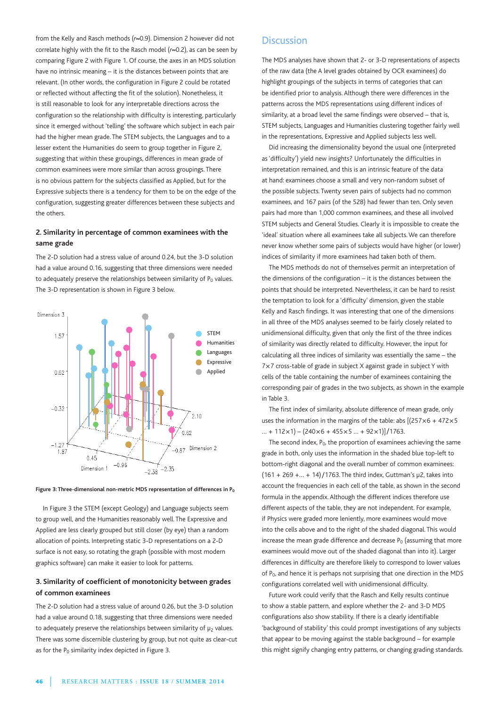from the Kelly and Rasch methods (*r*≈0.9). Dimension 2 however did not correlate highly with the fit to the Rasch model (*r*≈0.2), as can be seen by comparing Figure 2 with Figure 1. Of course, the axes in an MDS solution have no intrinsic meaning – it is the distances between points that are relevant. (In other words, the configuration in Figure 2 could be rotated or reflected without affecting the fit of the solution). Nonetheless, it is still reasonable to look for any interpretable directions across the configuration so the relationship with difficulty is interesting, particularly since it emerged without 'telling' the software which subject in each pair had the higher mean grade. The STEM subjects, the Languages and to a lesser extent the Humanities do seem to group together in Figure 2, suggesting that within these groupings, differences in mean grade of common examinees were more similar than across groupings. There is no obvious pattern for the subjects classified as Applied, but for the Expressive subjects there is a tendency for them to be on the edge of the configuration, suggesting greater differences between these subjects and the others.

## **2. Similarity in percentage of common examinees with the same grade**

The 2-D solution had a stress value of around 0.24, but the 3-D solution had a value around 0.16, suggesting that three dimensions were needed to adequately preserve the relationships between similarity of  $P_0$  values. The 3-D representation is shown in Figure 3 below.





In Figure 3 the STEM (except Geology) and Language subjects seem to group well, and the Humanities reasonably well. The Expressive and Applied are less clearly grouped but still closer (by eye) than a random allocation of points. Interpreting static 3-D representations on a 2-D surface is not easy, so rotating the graph (possible with most modern graphics software) can make it easier to look for patterns.

## **3. Similarity of coefficient of monotonicity between grades of common examinees**

The 2-D solution had a stress value of around 0.26, but the 3-D solution had a value around 0.18, suggesting that three dimensions were needed to adequately preserve the relationships between similarity of  $\mu_2$  values. There was some discernible clustering by group, but not quite as clear-cut as for the  $P_0$  similarity index depicted in Figure 3.

## **Discussion**

The MDS analyses have shown that 2- or 3-D representations of aspects of the raw data (the A level grades obtained by OCR examinees) do highlight groupings of the subjects in terms of categories that can be identified prior to analysis. Although there were differences in the patterns across the MDS representations using different indices of similarity, at a broad level the same findings were observed – that is, STEM subjects, Languages and Humanities clustering together fairly well in the representations, Expressive and Applied subjects less well.

Did increasing the dimensionality beyond the usual one (interpreted as 'difficulty') yield new insights? Unfortunately the difficulties in interpretation remained, and this is an intrinsic feature of the data at hand: examinees choose a small and very non-random subset of the possible subjects. Twenty seven pairs of subjects had no common examinees, and 167 pairs (of the 528) had fewer than ten. Only seven pairs had more than 1,000 common examinees, and these all involved STEM subjects and General Studies. Clearly it is impossible to create the 'ideal' situation where all examinees take all subjects. We can therefore never know whether some pairs of subjects would have higher (or lower) indices of similarity if more examinees had taken both of them.

The MDS methods do not of themselves permit an interpretation of the dimensions of the configuration – it is the distances between the points that should be interpreted. Nevertheless, it can be hard to resist the temptation to look for a 'difficulty' dimension, given the stable Kelly and Rasch findings. It was interesting that one of the dimensions in all three of the MDS analyses seemed to be fairly closely related to unidimensional difficulty, given that only the first of the three indices of similarity was directly related to difficulty. However, the input for calculating all three indices of similarity was essentially the same – the 7×7 cross-table of grade in subject X against grade in subject Y with cells of the table containing the number of examinees containing the corresponding pair of grades in the two subjects, as shown in the example in Table 3.

The first index of similarity, absolute difference of mean grade, only uses the information in the margins of the table: abs [(257×6 + 472×5  $... + 112 \times 1$  – (240×6 + 455×5  $... + 92 \times 1$ ) / 1763.

The second index,  $P_0$ , the proportion of examinees achieving the same grade in both, only uses the information in the shaded blue top-left to bottom-right diagonal and the overall number of common examinees: (161 + 269 +… + 14)/1763. The third index, Guttman's μ2, takes into account the frequencies in each cell of the table, as shown in the second formula in the appendix. Although the different indices therefore use different aspects of the table, they are not independent. For example, if Physics were graded more leniently, more examinees would move into the cells above and to the right of the shaded diagonal. This would increase the mean grade difference and decrease  $P_0$  (assuming that more examinees would move out of the shaded diagonal than into it). Larger differences in difficulty are therefore likely to correspond to lower values of  $P_0$ , and hence it is perhaps not surprising that one direction in the MDS configurations correlated well with unidimensional difficulty.

Future work could verify that the Rasch and Kelly results continue to show a stable pattern, and explore whether the 2- and 3-D MDS configurations also show stability. If there is a clearly identifiable 'background of stability' this could prompt investigations of any subjects that appear to be moving against the stable background – for example this might signify changing entry patterns, or changing grading standards.